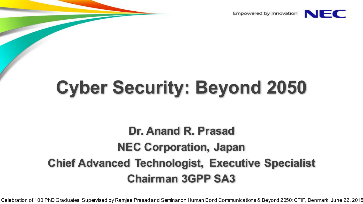Empowered by Innovation



### **Cyber Security: Beyond 2050**

#### **Dr. Anand R. Prasad NEC Corporation, Japan Chief Advanced Technologist, Executive Specialist Chairman 3GPP SA3**

Celebration of 100 PhD Graduates, Supervised by Ramjee Prasad and Seminar on Human Bond Communications & Beyond 2050; CTIF, Denmark, June 22, 2015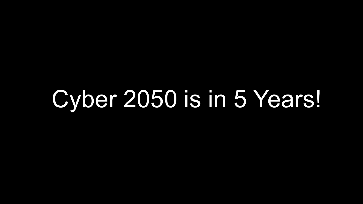# Cyber 2050 is in 5 Years!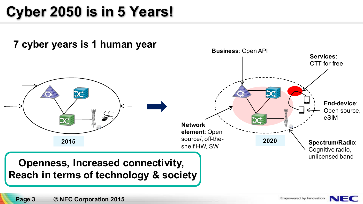#### **Cyber 2050 is in 5 Years!**



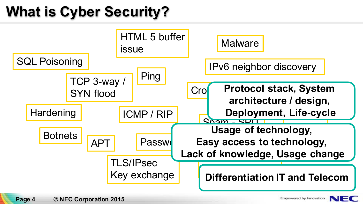### **What is Cyber Security?**



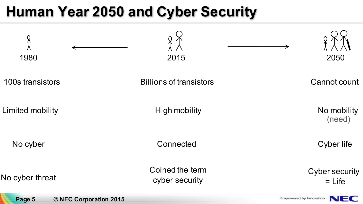#### **Human Year 2050 and Cyber Security**



**Page 5 © NEC Corporation 2015**

Empowered by Innovation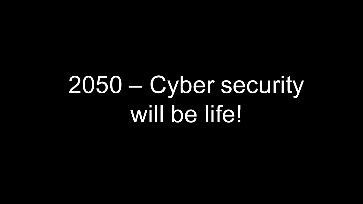# 2050 – Cyber security will be life!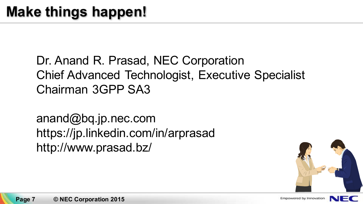Dr. Anand R. Prasad, NEC Corporation Chief Advanced Technologist, Executive Specialist Chairman 3GPP SA3

anand@bq.jp.nec.com https://jp.linkedin.com/in/arprasad http://www.prasad.bz/



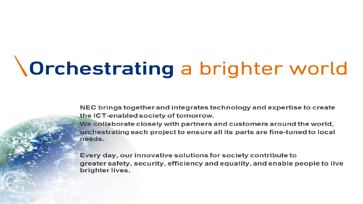## *<u>Orchestrating</u>* a brighter world

NEC brings together and integrates technology and expertise to create the ICT-enabled society of tomorrow.

We collaborate closely with partners and customers around the world, orchestrating each project to ensure all its parts are fine-tuned to local needs.

Every day, our innovative solutions for society contribute to greater safety, security, efficiency and equality, and enable people to live brighter lives.